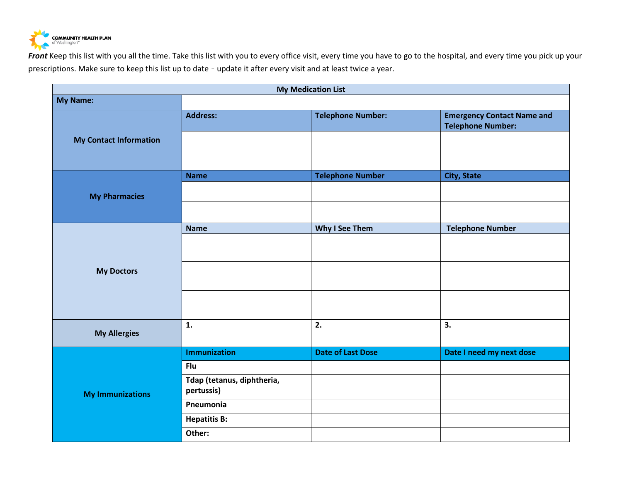

Front Keep this list with you all the time. Take this list with you to every office visit, every time you have to go to the hospital, and every time you pick up your prescriptions. Make sure to keep this list up to date – update it after every visit and at least twice a year.

| <b>My Medication List</b>     |                                          |                          |                                                               |  |  |
|-------------------------------|------------------------------------------|--------------------------|---------------------------------------------------------------|--|--|
| <b>My Name:</b>               |                                          |                          |                                                               |  |  |
| <b>My Contact Information</b> | <b>Address:</b>                          | <b>Telephone Number:</b> | <b>Emergency Contact Name and</b><br><b>Telephone Number:</b> |  |  |
|                               |                                          |                          |                                                               |  |  |
| <b>My Pharmacies</b>          | <b>Name</b>                              | <b>Telephone Number</b>  | <b>City, State</b>                                            |  |  |
|                               |                                          |                          |                                                               |  |  |
| <b>My Doctors</b>             | <b>Name</b>                              | Why I See Them           | <b>Telephone Number</b>                                       |  |  |
|                               |                                          |                          |                                                               |  |  |
|                               |                                          |                          |                                                               |  |  |
|                               |                                          |                          |                                                               |  |  |
| <b>My Allergies</b>           | $\mathbf{1}$ .                           | 2.                       | 3.                                                            |  |  |
| <b>My Immunizations</b>       | <b>Immunization</b>                      | <b>Date of Last Dose</b> | Date I need my next dose                                      |  |  |
|                               | <b>Flu</b>                               |                          |                                                               |  |  |
|                               | Tdap (tetanus, diphtheria,<br>pertussis) |                          |                                                               |  |  |
|                               | Pneumonia                                |                          |                                                               |  |  |
|                               | <b>Hepatitis B:</b>                      |                          |                                                               |  |  |
|                               | Other:                                   |                          |                                                               |  |  |